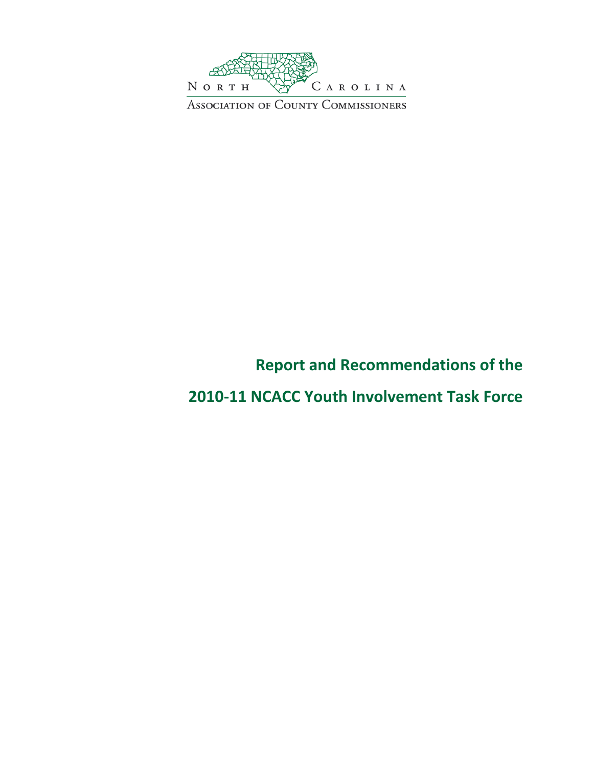

# **Report and Recommendations of the**

**2010-11 NCACC Youth Involvement Task Force**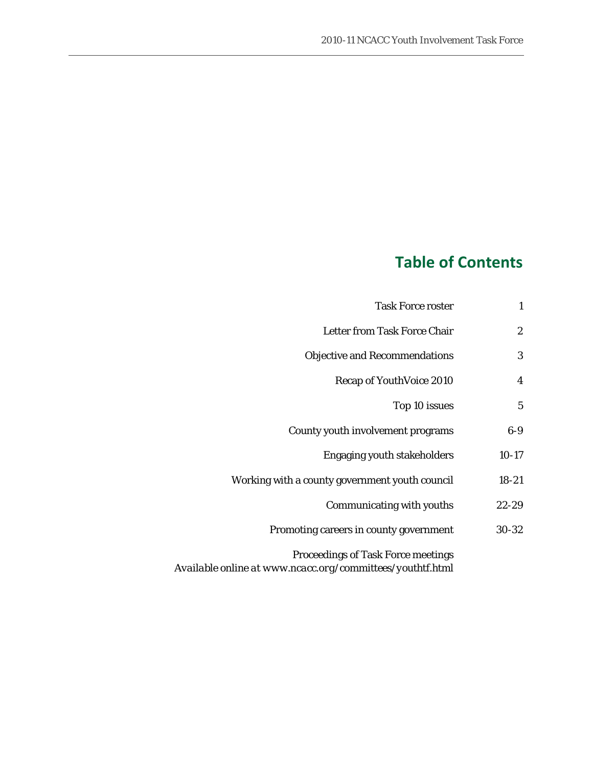# **Table of Contents**

| <b>Task Force roster</b>                                                                               | 1                |
|--------------------------------------------------------------------------------------------------------|------------------|
| Letter from Task Force Chair                                                                           | $\boldsymbol{2}$ |
| <b>Objective and Recommendations</b>                                                                   | 3                |
| Recap of YouthVoice 2010                                                                               | 4                |
| Top 10 issues                                                                                          | 5                |
| County youth involvement programs                                                                      | $6-9$            |
| <b>Engaging youth stakeholders</b>                                                                     | $10-17$          |
| Working with a county government youth council                                                         | $18 - 21$        |
| Communicating with youths                                                                              | $22 - 29$        |
| Promoting careers in county government                                                                 | 30-32            |
| <b>Proceedings of Task Force meetings</b><br>Available online at www.ncacc.org/committees/youthtf.html |                  |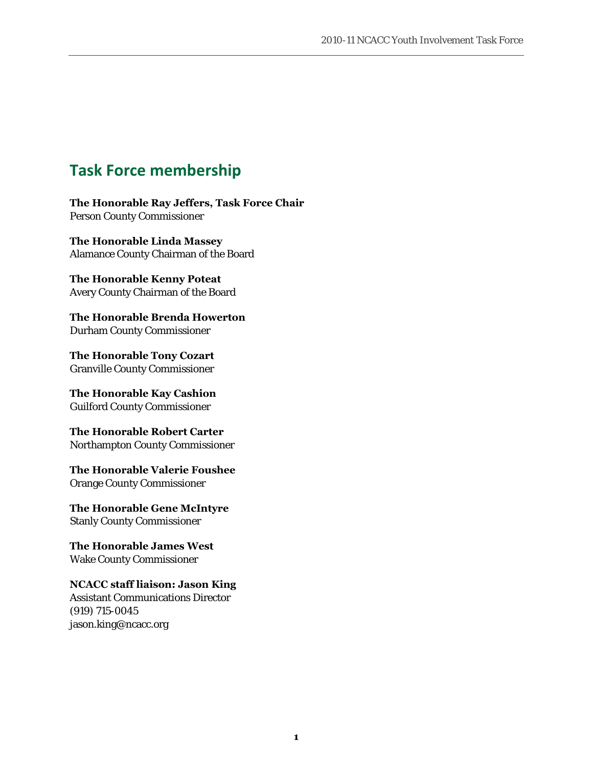# **Task Force membership**

**The Honorable Ray Jeffers, Task Force Chair** Person County Commissioner

**The Honorable Linda Massey** Alamance County Chairman of the Board

**The Honorable Kenny Poteat** Avery County Chairman of the Board

**The Honorable Brenda Howerton** Durham County Commissioner

**The Honorable Tony Cozart** Granville County Commissioner

**The Honorable Kay Cashion** Guilford County Commissioner

**The Honorable Robert Carter** Northampton County Commissioner

**The Honorable Valerie Foushee** Orange County Commissioner

**The Honorable Gene McIntyre** Stanly County Commissioner

**The Honorable James West** Wake County Commissioner

**NCACC staff liaison: Jason King** Assistant Communications Director (919) 715-0045 jason.king@ncacc.org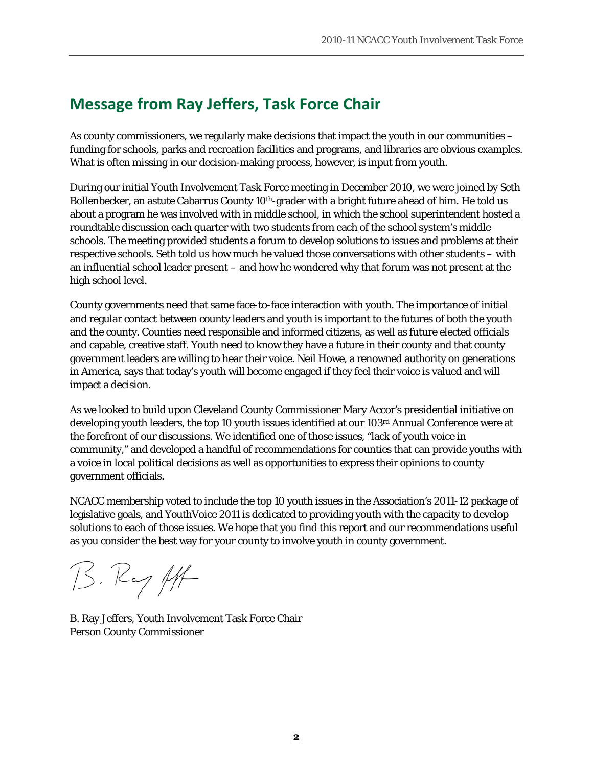# **Message from Ray Jeffers, Task Force Chair**

As county commissioners, we regularly make decisions that impact the youth in our communities – funding for schools, parks and recreation facilities and programs, and libraries are obvious examples. What is often missing in our decision-making process, however, is input from youth.

During our initial Youth Involvement Task Force meeting in December 2010, we were joined by Seth Bollenbecker, an astute Cabarrus County 10<sup>th</sup>-grader with a bright future ahead of him. He told us about a program he was involved with in middle school, in which the school superintendent hosted a roundtable discussion each quarter with two students from each of the school system's middle schools. The meeting provided students a forum to develop solutions to issues and problems at their respective schools. Seth told us how much he valued those conversations with other students – with an influential school leader present – and how he wondered why that forum was not present at the high school level.

County governments need that same face-to-face interaction with youth. The importance of initial and regular contact between county leaders and youth is important to the futures of both the youth and the county. Counties need responsible and informed citizens, as well as future elected officials and capable, creative staff. Youth need to know they have a future in their county and that county government leaders are willing to hear their voice. Neil Howe, a renowned authority on generations in America, says that today's youth will become engaged if they feel their voice is valued and will impact a decision.

As we looked to build upon Cleveland County Commissioner Mary Accor's presidential initiative on developing youth leaders, the top 10 youth issues identified at our 103rd Annual Conference were at the forefront of our discussions. We identified one of those issues, "lack of youth voice in community," and developed a handful of recommendations for counties that can provide youths with a voice in local political decisions as well as opportunities to express their opinions to county government officials.

NCACC membership voted to include the top 10 youth issues in the Association's 2011-12 package of legislative goals, and YouthVoice 2011 is dedicated to providing youth with the capacity to develop solutions to each of those issues. We hope that you find this report and our recommendations useful as you consider the best way for your county to involve youth in county government.

B. Ry ft

B. Ray Jeffers, Youth Involvement Task Force Chair Person County Commissioner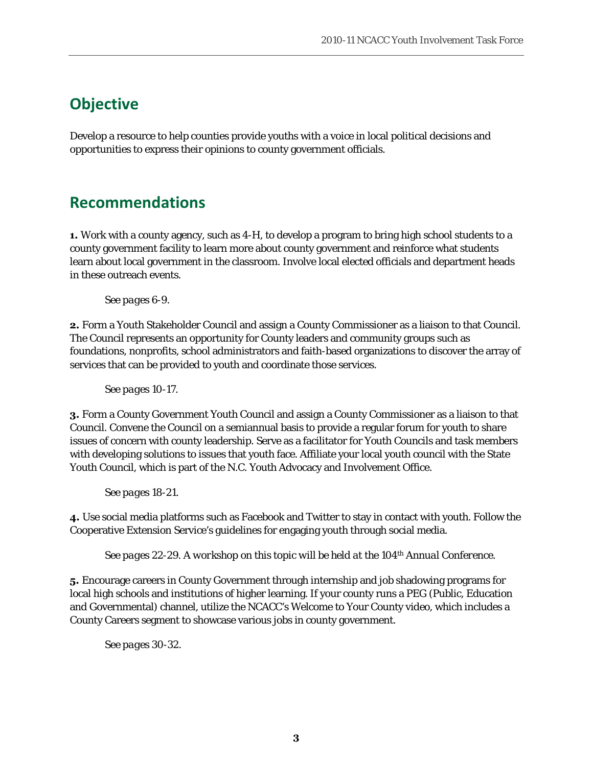# **Objective**

Develop a resource to help counties provide youths with a voice in local political decisions and opportunities to express their opinions to county government officials.

# **Recommendations**

**1.** Work with a county agency, such as 4-H, to develop a program to bring high school students to a county government facility to learn more about county government and reinforce what students learn about local government in the classroom. Involve local elected officials and department heads in these outreach events.

*See pages 6-9.* 

**2.** Form a Youth Stakeholder Council and assign a County Commissioner as a liaison to that Council. The Council represents an opportunity for County leaders and community groups such as foundations, nonprofits, school administrators and faith-based organizations to discover the array of services that can be provided to youth and coordinate those services.

*See pages 10-17.* 

**3.** Form a County Government Youth Council and assign a County Commissioner as a liaison to that Council. Convene the Council on a semiannual basis to provide a regular forum for youth to share issues of concern with county leadership. Serve as a facilitator for Youth Councils and task members with developing solutions to issues that youth face. Affiliate your local youth council with the State Youth Council, which is part of the N.C. Youth Advocacy and Involvement Office.

*See pages 18-21.* 

**4.** Use social media platforms such as Facebook and Twitter to stay in contact with youth. Follow the Cooperative Extension Service's guidelines for engaging youth through social media.

*See pages 22-29. A workshop on this topic will be held at the 104th Annual Conference.*

**5.** Encourage careers in County Government through internship and job shadowing programs for local high schools and institutions of higher learning. If your county runs a PEG (Public, Education and Governmental) channel, utilize the NCACC's Welcome to Your County video, which includes a County Careers segment to showcase various jobs in county government.

*See pages 30-32.*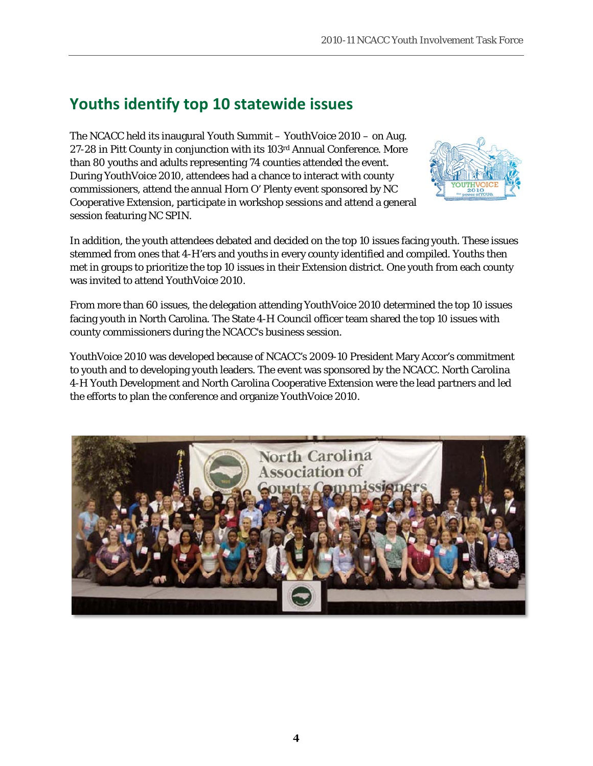# **Youths identify top 10 statewide issues**

The NCACC held its inaugural Youth Summit – YouthVoice 2010 – on Aug. 27-28 in Pitt County in conjunction with its 103rd Annual Conference. More than 80 youths and adults representing 74 counties attended the event. During YouthVoice 2010, attendees had a chance to interact with county commissioners, attend the annual Horn O' Plenty event sponsored by NC Cooperative Extension, participate in workshop sessions and attend a general session featuring NC SPIN.



In addition, the youth attendees debated and decided on the top 10 issues facing youth. These issues stemmed from ones that 4-H'ers and youths in every county identified and compiled. Youths then met in groups to prioritize the top 10 issues in their Extension district. One youth from each county was invited to attend YouthVoice 2010.

From more than 60 issues, the delegation attending YouthVoice 2010 determined the top 10 issues facing youth in North Carolina. The State 4-H Council officer team shared the top 10 issues with county commissioners during the NCACC's business session.

YouthVoice 2010 was developed because of NCACC's 2009-10 President Mary Accor's commitment to youth and to developing youth leaders. The event was sponsored by the NCACC. North Carolina 4-H Youth Development and North Carolina Cooperative Extension were the lead partners and led the efforts to plan the conference and organize YouthVoice 2010.

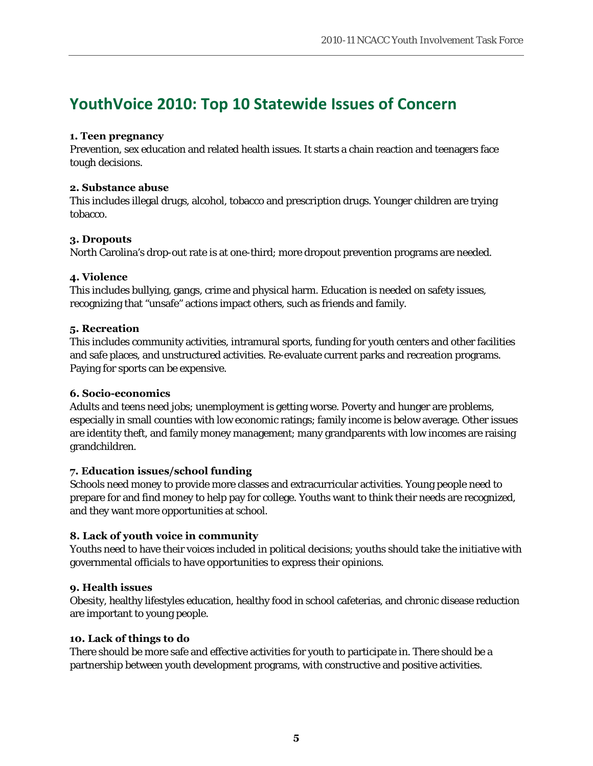# **YouthVoice 2010: Top 10 Statewide Issues of Concern**

#### **1. Teen pregnancy**

Prevention, sex education and related health issues. It starts a chain reaction and teenagers face tough decisions.

#### **2. Substance abuse**

This includes illegal drugs, alcohol, tobacco and prescription drugs. Younger children are trying tobacco.

#### **3. Dropouts**

North Carolina's drop-out rate is at one-third; more dropout prevention programs are needed.

#### **4. Violence**

This includes bullying, gangs, crime and physical harm. Education is needed on safety issues, recognizing that "unsafe" actions impact others, such as friends and family.

#### **5. Recreation**

This includes community activities, intramural sports, funding for youth centers and other facilities and safe places, and unstructured activities. Re-evaluate current parks and recreation programs. Paying for sports can be expensive.

#### **6. Socio-economics**

Adults and teens need jobs; unemployment is getting worse. Poverty and hunger are problems, especially in small counties with low economic ratings; family income is below average. Other issues are identity theft, and family money management; many grandparents with low incomes are raising grandchildren.

#### **7. Education issues/school funding**

Schools need money to provide more classes and extracurricular activities. Young people need to prepare for and find money to help pay for college. Youths want to think their needs are recognized, and they want more opportunities at school.

#### **8. Lack of youth voice in community**

Youths need to have their voices included in political decisions; youths should take the initiative with governmental officials to have opportunities to express their opinions.

#### **9. Health issues**

Obesity, healthy lifestyles education, healthy food in school cafeterias, and chronic disease reduction are important to young people.

#### **10. Lack of things to do**

There should be more safe and effective activities for youth to participate in. There should be a partnership between youth development programs, with constructive and positive activities.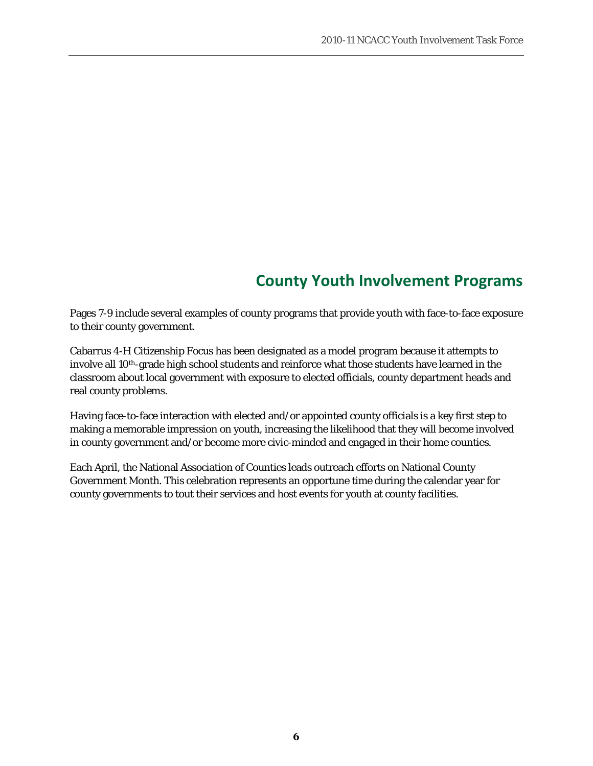# **County Youth Involvement Programs**

Pages 7-9 include several examples of county programs that provide youth with face-to-face exposure to their county government.

Cabarrus 4-H Citizenship Focus has been designated as a model program because it attempts to involve all 10th-grade high school students and reinforce what those students have learned in the classroom about local government with exposure to elected officials, county department heads and real county problems.

Having face-to-face interaction with elected and/or appointed county officials is a key first step to making a memorable impression on youth, increasing the likelihood that they will become involved in county government and/or become more civic-minded and engaged in their home counties.

Each April, the National Association of Counties leads outreach efforts on National County Government Month. This celebration represents an opportune time during the calendar year for county governments to tout their services and host events for youth at county facilities.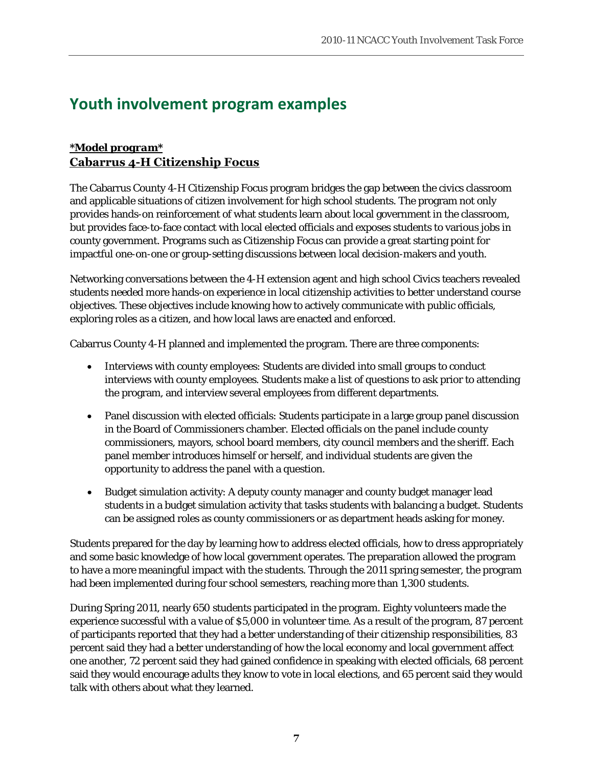# **Youth involvement program examples**

### *\*Model program\** **Cabarrus 4-H Citizenship Focus**

The Cabarrus County 4-H Citizenship Focus program bridges the gap between the civics classroom and applicable situations of citizen involvement for high school students. The program not only provides hands-on reinforcement of what students learn about local government in the classroom, but provides face-to-face contact with local elected officials and exposes students to various jobs in county government. Programs such as Citizenship Focus can provide a great starting point for impactful one-on-one or group-setting discussions between local decision-makers and youth.

Networking conversations between the 4-H extension agent and high school Civics teachers revealed students needed more hands-on experience in local citizenship activities to better understand course objectives. These objectives include knowing how to actively communicate with public officials, exploring roles as a citizen, and how local laws are enacted and enforced.

Cabarrus County 4-H planned and implemented the program. There are three components:

- Interviews with county employees: Students are divided into small groups to conduct interviews with county employees. Students make a list of questions to ask prior to attending the program, and interview several employees from different departments.
- Panel discussion with elected officials: Students participate in a large group panel discussion in the Board of Commissioners chamber. Elected officials on the panel include county commissioners, mayors, school board members, city council members and the sheriff. Each panel member introduces himself or herself, and individual students are given the opportunity to address the panel with a question.
- Budget simulation activity: A deputy county manager and county budget manager lead students in a budget simulation activity that tasks students with balancing a budget. Students can be assigned roles as county commissioners or as department heads asking for money.

Students prepared for the day by learning how to address elected officials, how to dress appropriately and some basic knowledge of how local government operates. The preparation allowed the program to have a more meaningful impact with the students. Through the 2011 spring semester, the program had been implemented during four school semesters, reaching more than 1,300 students.

During Spring 2011, nearly 650 students participated in the program. Eighty volunteers made the experience successful with a value of \$5,000 in volunteer time. As a result of the program, 87 percent of participants reported that they had a better understanding of their citizenship responsibilities, 83 percent said they had a better understanding of how the local economy and local government affect one another, 72 percent said they had gained confidence in speaking with elected officials, 68 percent said they would encourage adults they know to vote in local elections, and 65 percent said they would talk with others about what they learned.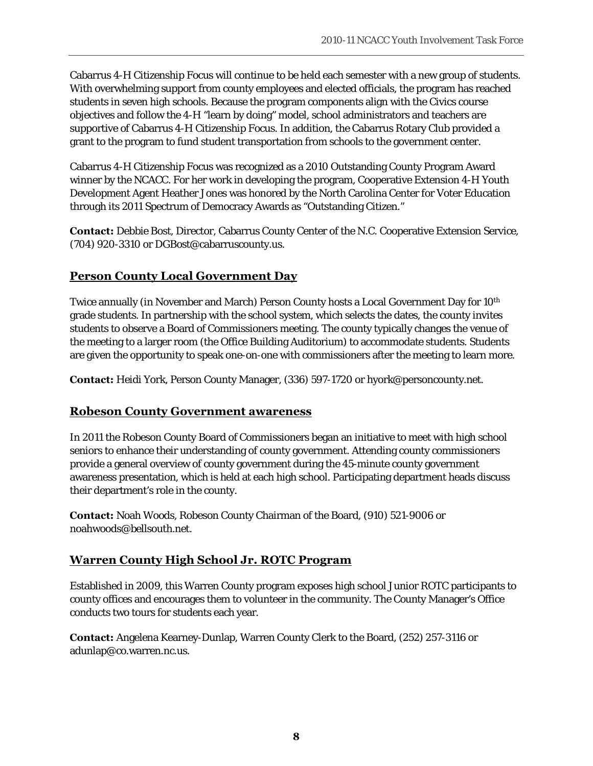Cabarrus 4-H Citizenship Focus will continue to be held each semester with a new group of students. With overwhelming support from county employees and elected officials, the program has reached students in seven high schools. Because the program components align with the Civics course objectives and follow the 4-H "learn by doing" model, school administrators and teachers are supportive of Cabarrus 4-H Citizenship Focus. In addition, the Cabarrus Rotary Club provided a grant to the program to fund student transportation from schools to the government center.

Cabarrus 4-H Citizenship Focus was recognized as a 2010 Outstanding County Program Award winner by the NCACC. For her work in developing the program, Cooperative Extension 4-H Youth Development Agent Heather Jones was honored by the North Carolina Center for Voter Education through its 2011 Spectrum of Democracy Awards as "Outstanding Citizen."

**Contact:** Debbie Bost, Director, Cabarrus County Center of the N.C. Cooperative Extension Service, (704) 920-3310 or DGBost@cabarruscounty.us.

### **Person County Local Government Day**

Twice annually (in November and March) Person County hosts a Local Government Day for 10<sup>th</sup> grade students. In partnership with the school system, which selects the dates, the county invites students to observe a Board of Commissioners meeting. The county typically changes the venue of the meeting to a larger room (the Office Building Auditorium) to accommodate students. Students are given the opportunity to speak one-on-one with commissioners after the meeting to learn more.

**Contact:** Heidi York, Person County Manager, (336) 597-1720 or hyork@personcounty.net.

#### **Robeson County Government awareness**

In 2011 the Robeson County Board of Commissioners began an initiative to meet with high school seniors to enhance their understanding of county government. Attending county commissioners provide a general overview of county government during the 45-minute county government awareness presentation, which is held at each high school. Participating department heads discuss their department's role in the county.

**Contact:** Noah Woods, Robeson County Chairman of the Board, (910) 521-9006 or noahwoods@bellsouth.net.

### **Warren County High School Jr. ROTC Program**

Established in 2009, this Warren County program exposes high school Junior ROTC participants to county offices and encourages them to volunteer in the community. The County Manager's Office conducts two tours for students each year.

**Contact:** Angelena Kearney-Dunlap, Warren County Clerk to the Board, (252) 257-3116 or adunlap@co.warren.nc.us.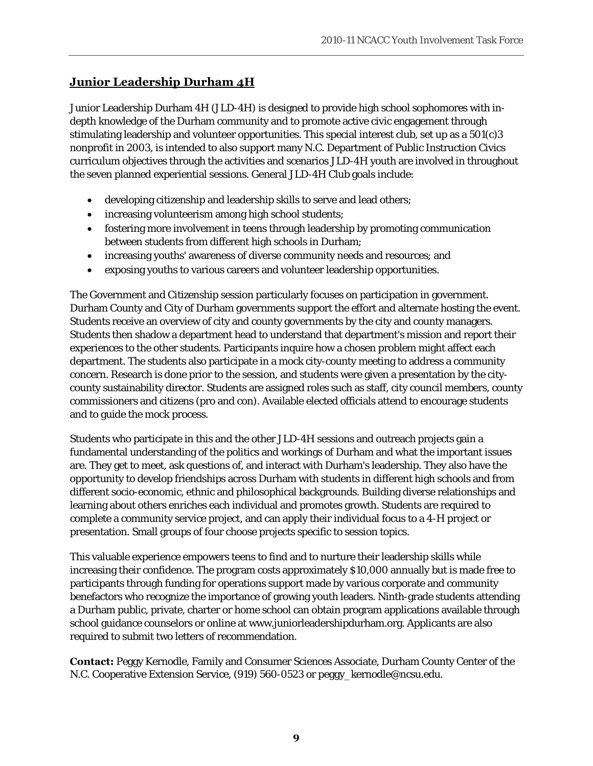# **Junior Leadership Durham 4H**

Junior Leadership Durham 4H (JLD-4H) is designed to provide high school sophomores with indepth knowledge of the Durham community and to promote active civic engagement through stimulating leadership and volunteer opportunities. This special interest club, set up as a 501(c)3 nonprofit in 2003, is intended to also support many N.C. Department of Public Instruction Civics curriculum objectives through the activities and scenarios JLD-4H youth are involved in throughout the seven planned experiential sessions. General JLD-4H Club goals include:

- developing citizenship and leadership skills to serve and lead others;
- increasing volunteerism among high school students;
- fostering more involvement in teens through leadership by promoting communication between students from different high schools in Durham;
- increasing youths' awareness of diverse community needs and resources; and
- exposing youths to various careers and volunteer leadership opportunities.

The Government and Citizenship session particularly focuses on participation in government. Durham County and City of Durham governments support the effort and alternate hosting the event. Students receive an overview of city and county governments by the city and county managers. Students then shadow a department head to understand that department's mission and report their experiences to the other students. Participants inquire how a chosen problem might affect each department. The students also participate in a mock city-county meeting to address a community concern. Research is done prior to the session, and students were given a presentation by the citycounty sustainability director. Students are assigned roles such as staff, city council members, county commissioners and citizens (pro and con). Available elected officials attend to encourage students and to guide the mock process.

Students who participate in this and the other JLD-4H sessions and outreach projects gain a fundamental understanding of the politics and workings of Durham and what the important issues are. They get to meet, ask questions of, and interact with Durham's leadership. They also have the opportunity to develop friendships across Durham with students in different high schools and from different socio-economic, ethnic and philosophical backgrounds. Building diverse relationships and learning about others enriches each individual and promotes growth. Students are required to complete a community service project, and can apply their individual focus to a 4-H project or presentation. Small groups of four choose projects specific to session topics.

This valuable experience empowers teens to find and to nurture their leadership skills while increasing their confidence. The program costs approximately \$10,000 annually but is made free to participants through funding for operations support made by various corporate and community benefactors who recognize the importance of growing youth leaders. Ninth-grade students attending a Durham public, private, charter or home school can obtain program applications available through school guidance counselors or online at www.juniorleadershipdurham.org. Applicants are also required to submit two letters of recommendation.

**Contact:** Peggy Kernodle, Family and Consumer Sciences Associate, Durham County Center of the N.C. Cooperative Extension Service, (919) 560-0523 or peggy\_kernodle@ncsu.edu.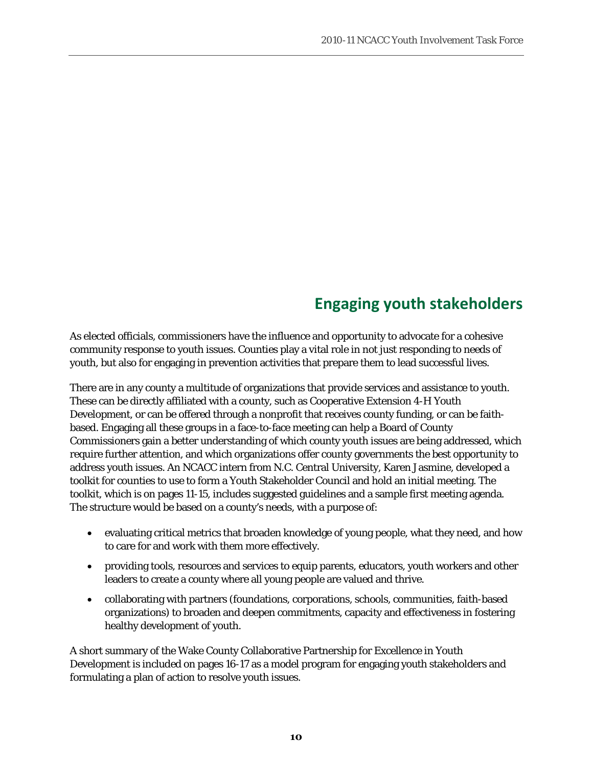# **Engaging youth stakeholders**

As elected officials, commissioners have the influence and opportunity to advocate for a cohesive community response to youth issues. Counties play a vital role in not just responding to needs of youth, but also for engaging in prevention activities that prepare them to lead successful lives.

There are in any county a multitude of organizations that provide services and assistance to youth. These can be directly affiliated with a county, such as Cooperative Extension 4-H Youth Development, or can be offered through a nonprofit that receives county funding, or can be faithbased. Engaging all these groups in a face-to-face meeting can help a Board of County Commissioners gain a better understanding of which county youth issues are being addressed, which require further attention, and which organizations offer county governments the best opportunity to address youth issues. An NCACC intern from N.C. Central University, Karen Jasmine, developed a toolkit for counties to use to form a Youth Stakeholder Council and hold an initial meeting. The toolkit, which is on pages 11-15, includes suggested guidelines and a sample first meeting agenda. The structure would be based on a county's needs, with a purpose of:

- evaluating critical metrics that broaden knowledge of young people, what they need, and how to care for and work with them more effectively.
- providing tools, resources and services to equip parents, educators, youth workers and other leaders to create a county where all young people are valued and thrive.
- collaborating with partners (foundations, corporations, schools, communities, faith-based organizations) to broaden and deepen commitments, capacity and effectiveness in fostering healthy development of youth.

A short summary of the Wake County Collaborative Partnership for Excellence in Youth Development is included on pages 16-17 as a model program for engaging youth stakeholders and formulating a plan of action to resolve youth issues.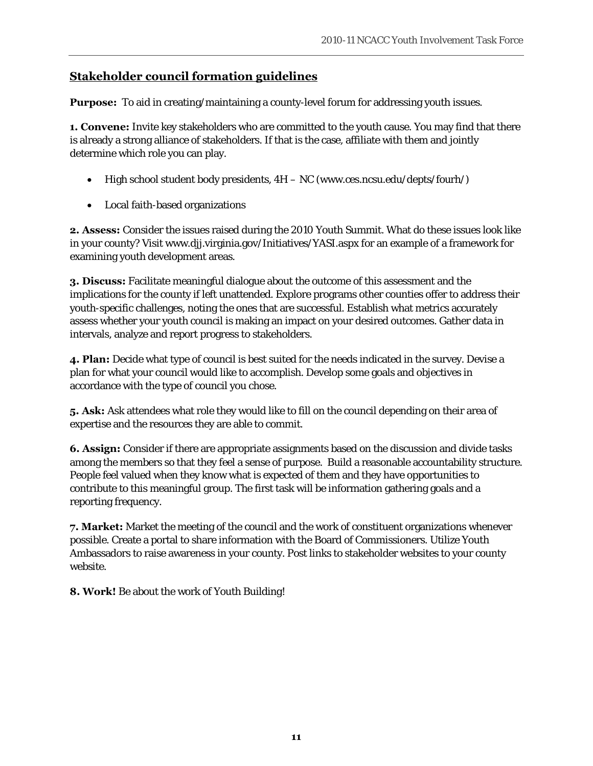## **Stakeholder council formation guidelines**

**Purpose:** To aid in creating/maintaining a county-level forum for addressing youth issues.

**1. Convene:** Invite key stakeholders who are committed to the youth cause. You may find that there is already a strong alliance of stakeholders. If that is the case, affiliate with them and jointly determine which role you can play.

- High school student body presidents,  $4H NC$  (www.ces.ncsu.edu/depts/fourh/)
- Local faith-based organizations

**2. Assess:** Consider the issues raised during the 2010 Youth Summit. What do these issues look like in your county? Visit www.djj.virginia.gov/Initiatives/YASI.aspx for an example of a framework for examining youth development areas.

**3. Discuss:** Facilitate meaningful dialogue about the outcome of this assessment and the implications for the county if left unattended. Explore programs other counties offer to address their youth-specific challenges, noting the ones that are successful. Establish what metrics accurately assess whether your youth council is making an impact on your desired outcomes. Gather data in intervals, analyze and report progress to stakeholders.

**4. Plan:** Decide what type of council is best suited for the needs indicated in the survey. Devise a plan for what your council would like to accomplish. Develop some goals and objectives in accordance with the type of council you chose.

**5. Ask:** Ask attendees what role they would like to fill on the council depending on their area of expertise and the resources they are able to commit.

**6. Assign:** Consider if there are appropriate assignments based on the discussion and divide tasks among the members so that they feel a sense of purpose. Build a reasonable accountability structure. People feel valued when they know what is expected of them and they have opportunities to contribute to this meaningful group. The first task will be information gathering goals and a reporting frequency.

**7. Market:** Market the meeting of the council and the work of constituent organizations whenever possible. Create a portal to share information with the Board of Commissioners. Utilize Youth Ambassadors to raise awareness in your county. Post links to stakeholder websites to your county website.

**8. Work!** Be about the work of Youth Building!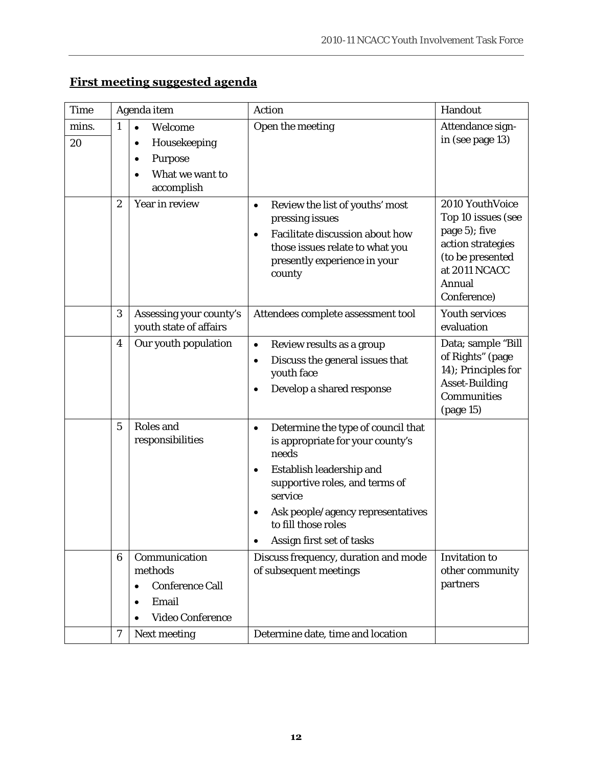| <b>Time</b> | Agenda item      |                                                                                                  | <b>Action</b>                                                                                                                                                                                                                                          | Handout                                                                                                                |
|-------------|------------------|--------------------------------------------------------------------------------------------------|--------------------------------------------------------------------------------------------------------------------------------------------------------------------------------------------------------------------------------------------------------|------------------------------------------------------------------------------------------------------------------------|
| mins.<br>20 | $\mathbf{1}$     | Welcome<br>$\bullet$<br>Housekeeping<br>٠                                                        | Open the meeting                                                                                                                                                                                                                                       | Attendance sign-<br>in (see page 13)                                                                                   |
|             | $\boldsymbol{2}$ | <b>Purpose</b><br>$\bullet$<br>What we want to<br>٠<br>accomplish<br>Year in review              | Review the list of youths' most<br>$\bullet$                                                                                                                                                                                                           | 2010 YouthVoice                                                                                                        |
|             |                  |                                                                                                  | pressing issues<br>Facilitate discussion about how<br>those issues relate to what you<br>presently experience in your<br>county                                                                                                                        | Top 10 issues (see<br>page 5); five<br>action strategies<br>(to be presented<br>at 2011 NCACC<br>Annual<br>Conference) |
|             | 3                | Assessing your county's<br>youth state of affairs                                                | Attendees complete assessment tool                                                                                                                                                                                                                     | <b>Youth services</b><br>evaluation                                                                                    |
|             | 4                | Our youth population                                                                             | Review results as a group<br>$\bullet$<br>Discuss the general issues that<br>$\bullet$<br>youth face<br>Develop a shared response                                                                                                                      | Data; sample "Bill<br>of Rights" (page<br>14); Principles for<br><b>Asset-Building</b><br>Communities<br>(page 15)     |
|             | $5\phantom{.0}$  | Roles and<br>responsibilities                                                                    | Determine the type of council that<br>٠<br>is appropriate for your county's<br>needs<br>Establish leadership and<br>supportive roles, and terms of<br>service<br>Ask people/agency representatives<br>to fill those roles<br>Assign first set of tasks |                                                                                                                        |
|             | $6\phantom{1}6$  | Communication<br>methods<br><b>Conference Call</b><br>٠<br>Email<br>٠<br><b>Video Conference</b> | Discuss frequency, duration and mode<br>of subsequent meetings                                                                                                                                                                                         | <b>Invitation to</b><br>other community<br>partners                                                                    |
|             | 7                | <b>Next meeting</b>                                                                              | Determine date, time and location                                                                                                                                                                                                                      |                                                                                                                        |
|             |                  |                                                                                                  |                                                                                                                                                                                                                                                        |                                                                                                                        |

# **First meeting suggested agenda**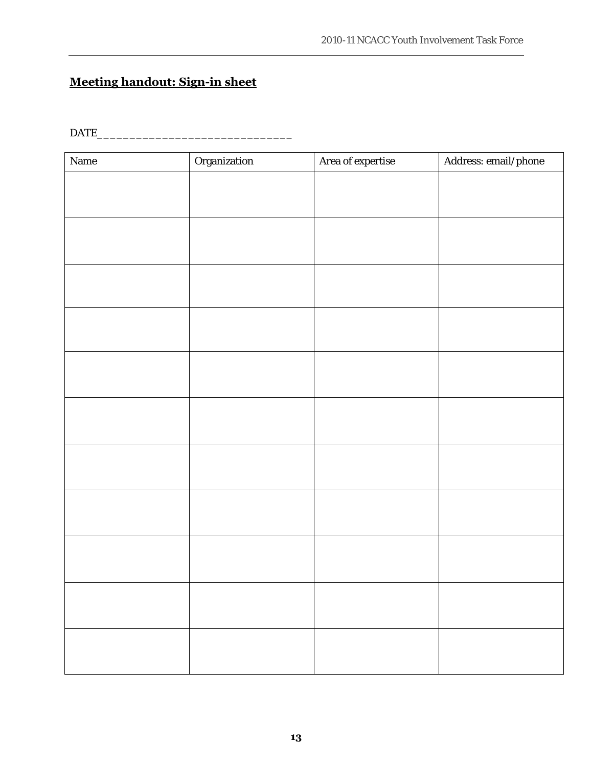# **Meeting handout: Sign-in sheet**

DATE\_\_\_\_\_\_\_\_\_\_\_\_\_\_\_\_\_\_\_\_\_\_\_\_\_\_\_\_\_\_

| $\mathbf{Name}$ | Organization | Area of expertise | $\large\bf Address: email/phone$ |
|-----------------|--------------|-------------------|----------------------------------|
|                 |              |                   |                                  |
|                 |              |                   |                                  |
|                 |              |                   |                                  |
|                 |              |                   |                                  |
|                 |              |                   |                                  |
|                 |              |                   |                                  |
|                 |              |                   |                                  |
|                 |              |                   |                                  |
|                 |              |                   |                                  |
|                 |              |                   |                                  |
|                 |              |                   |                                  |
|                 |              |                   |                                  |
|                 |              |                   |                                  |
|                 |              |                   |                                  |
|                 |              |                   |                                  |
|                 |              |                   |                                  |
|                 |              |                   |                                  |
|                 |              |                   |                                  |
|                 |              |                   |                                  |
|                 |              |                   |                                  |
|                 |              |                   |                                  |
|                 |              |                   |                                  |
|                 |              |                   |                                  |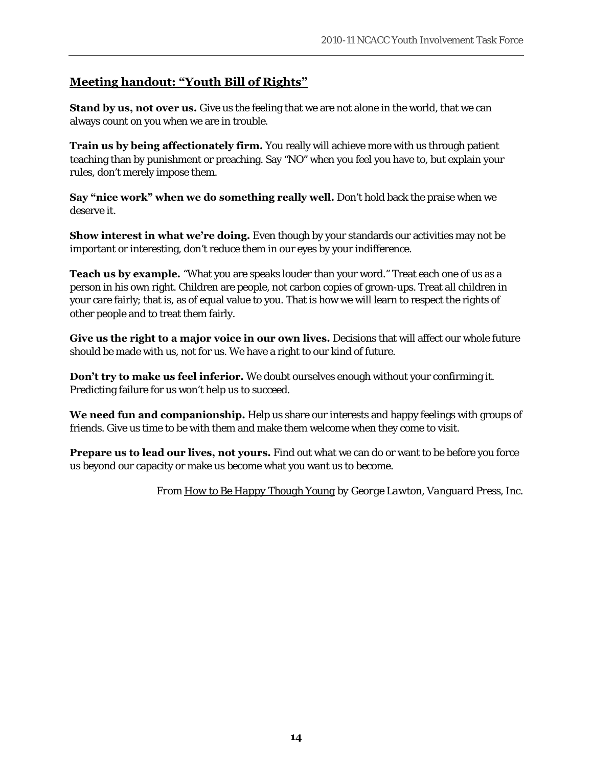## **Meeting handout: "Youth Bill of Rights"**

**Stand by us, not over us.** Give us the feeling that we are not alone in the world, that we can always count on you when we are in trouble.

**Train us by being affectionately firm.** You really will achieve more with us through patient teaching than by punishment or preaching. Say "NO" when you feel you have to, but explain your rules, don't merely impose them.

**Say "nice work" when we do something really well.** Don't hold back the praise when we deserve it.

**Show interest in what we're doing.** Even though by your standards our activities may not be important or interesting, don't reduce them in our eyes by your indifference.

**Teach us by example.** "What you are speaks louder than your word." Treat each one of us as a person in his own right. Children are people, not carbon copies of grown-ups. Treat all children in your care fairly; that is, as of equal value to you. That is how we will learn to respect the rights of other people and to treat them fairly.

**Give us the right to a major voice in our own lives.** Decisions that will affect our whole future should be made with us, not for us. We have a right to our kind of future.

**Don't try to make us feel inferior.** We doubt ourselves enough without your confirming it. Predicting failure for us won't help us to succeed.

**We need fun and companionship.** Help us share our interests and happy feelings with groups of friends. Give us time to be with them and make them welcome when they come to visit.

**Prepare us to lead our lives, not yours.** Find out what we can do or want to be before you force us beyond our capacity or make us become what you want us to become.

*From How to Be Happy Though Young by George Lawton, Vanguard Press, Inc.*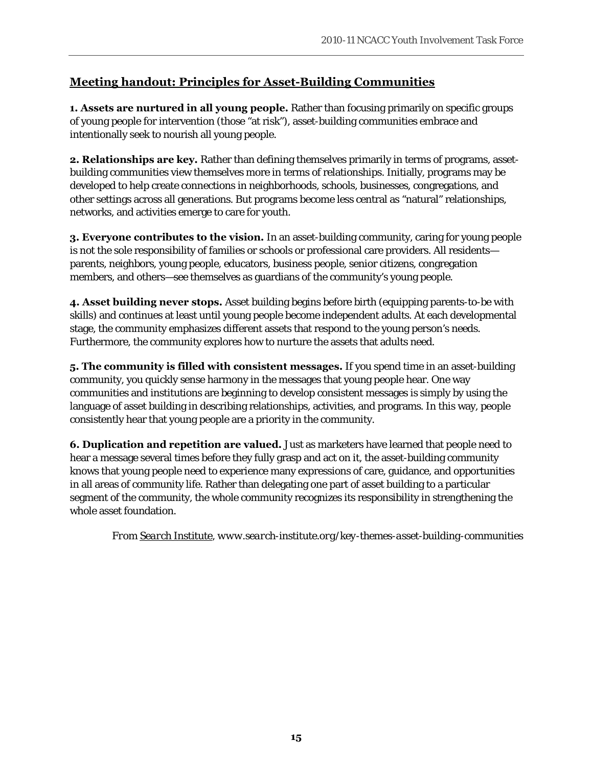# **Meeting handout: Principles for Asset-Building Communities**

**1. Assets are nurtured in all young people.** Rather than focusing primarily on specific groups of young people for intervention (those "at risk"), asset-building communities embrace and intentionally seek to nourish all young people.

**2. Relationships are key.** Rather than defining themselves primarily in terms of programs, assetbuilding communities view themselves more in terms of relationships. Initially, programs may be developed to help create connections in neighborhoods, schools, businesses, congregations, and other settings across all generations. But programs become less central as "natural" relationships, networks, and activities emerge to care for youth.

**3. Everyone contributes to the vision.** In an asset-building community, caring for young people is not the sole responsibility of families or schools or professional care providers. All residents parents, neighbors, young people, educators, business people, senior citizens, congregation members, and others—see themselves as guardians of the community's young people.

**4. Asset building never stops.** Asset building begins before birth (equipping parents-to-be with skills) and continues at least until young people become independent adults. At each developmental stage, the community emphasizes different assets that respond to the young person's needs. Furthermore, the community explores how to nurture the assets that adults need.

**5. The community is filled with consistent messages.** If you spend time in an asset-building community, you quickly sense harmony in the messages that young people hear. One way communities and institutions are beginning to develop consistent messages is simply by using the language of asset building in describing relationships, activities, and programs. In this way, people consistently hear that young people are a priority in the community.

**6. Duplication and repetition are valued.** Just as marketers have learned that people need to hear a message several times before they fully grasp and act on it, the asset-building community knows that young people need to experience many expressions of care, guidance, and opportunities in all areas of community life. Rather than delegating one part of asset building to a particular segment of the community, the whole community recognizes its responsibility in strengthening the whole asset foundation.

*From Search Institute, www.search-institute.org/key-themes-asset-building-communities*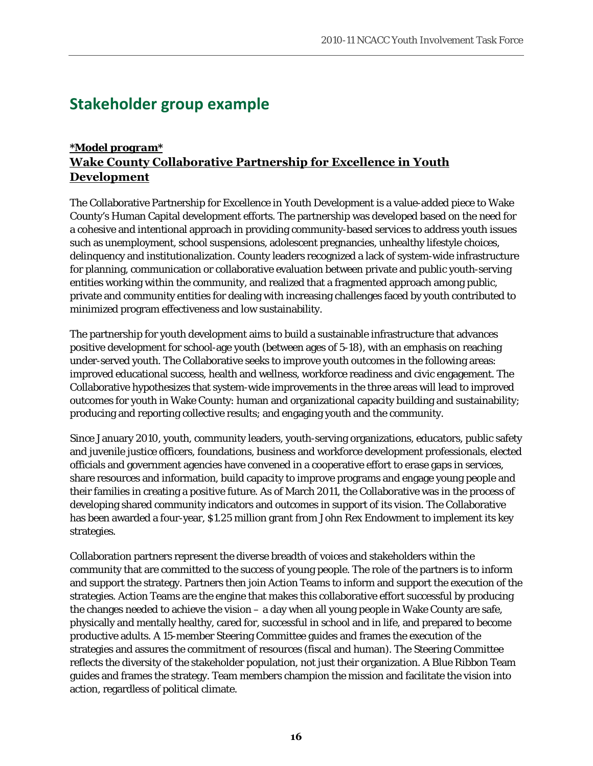# **Stakeholder group example**

### *\*Model program\** **Wake County Collaborative Partnership for Excellence in Youth Development**

The Collaborative Partnership for Excellence in Youth Development is a value-added piece to Wake County's Human Capital development efforts. The partnership was developed based on the need for a cohesive and intentional approach in providing community-based services to address youth issues such as unemployment, school suspensions, adolescent pregnancies, unhealthy lifestyle choices, delinquency and institutionalization. County leaders recognized a lack of system-wide infrastructure for planning, communication or collaborative evaluation between private and public youth-serving entities working within the community, and realized that a fragmented approach among public, private and community entities for dealing with increasing challenges faced by youth contributed to minimized program effectiveness and low sustainability.

The partnership for youth development aims to build a sustainable infrastructure that advances positive development for school-age youth (between ages of 5-18), with an emphasis on reaching under-served youth. The Collaborative seeks to improve youth outcomes in the following areas: improved educational success, health and wellness, workforce readiness and civic engagement. The Collaborative hypothesizes that system-wide improvements in the three areas will lead to improved outcomes for youth in Wake County: human and organizational capacity building and sustainability; producing and reporting collective results; and engaging youth and the community.

Since January 2010, youth, community leaders, youth-serving organizations, educators, public safety and juvenile justice officers, foundations, business and workforce development professionals, elected officials and government agencies have convened in a cooperative effort to erase gaps in services, share resources and information, build capacity to improve programs and engage young people and their families in creating a positive future. As of March 2011, the Collaborative was in the process of developing shared community indicators and outcomes in support of its vision. The Collaborative has been awarded a four-year, \$1.25 million grant from John Rex Endowment to implement its key strategies.

Collaboration partners represent the diverse breadth of voices and stakeholders within the community that are committed to the success of young people. The role of the partners is to inform and support the strategy. Partners then join Action Teams to inform and support the execution of the strategies. Action Teams are the engine that makes this collaborative effort successful by producing the changes needed to achieve the vision – a day when all young people in Wake County are safe, physically and mentally healthy, cared for, successful in school and in life, and prepared to become productive adults. A 15-member Steering Committee guides and frames the execution of the strategies and assures the commitment of resources (fiscal and human). The Steering Committee reflects the diversity of the stakeholder population, not just their organization. A Blue Ribbon Team guides and frames the strategy. Team members champion the mission and facilitate the vision into action, regardless of political climate.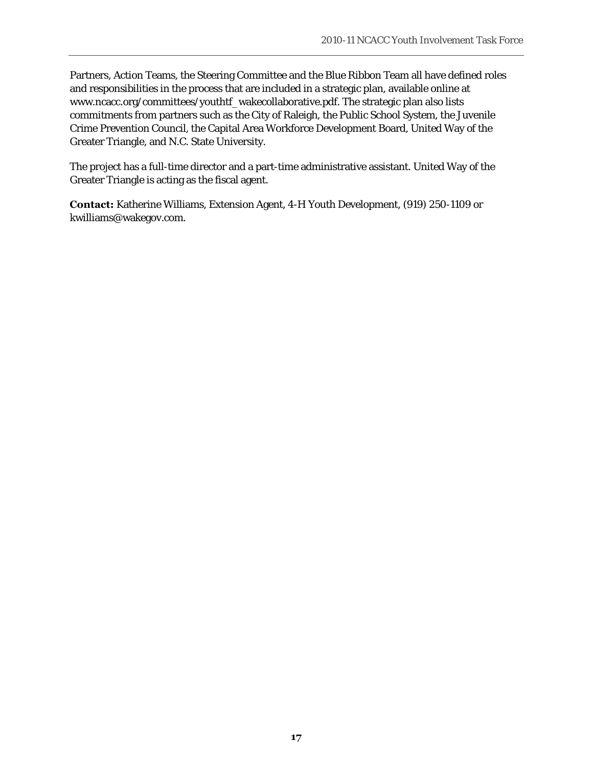Partners, Action Teams, the Steering Committee and the Blue Ribbon Team all have defined roles and responsibilities in the process that are included in a strategic plan, available online at www.ncacc.org/committees/youthtf\_wakecollaborative.pdf. The strategic plan also lists commitments from partners such as the City of Raleigh, the Public School System, the Juvenile Crime Prevention Council, the Capital Area Workforce Development Board, United Way of the Greater Triangle, and N.C. State University.

The project has a full-time director and a part-time administrative assistant. United Way of the Greater Triangle is acting as the fiscal agent.

**Contact:** Katherine Williams, Extension Agent, 4-H Youth Development, (919) 250-1109 or kwilliams@wakegov.com.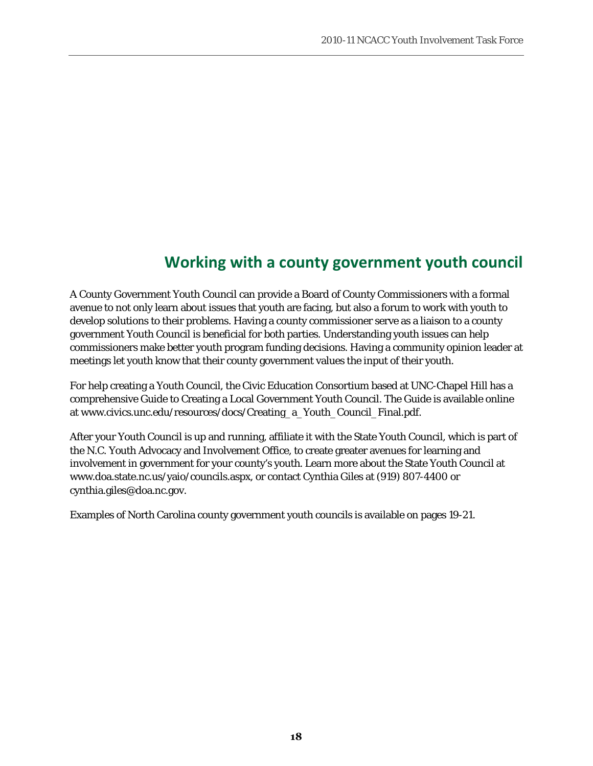# **Working with a county government youth council**

A County Government Youth Council can provide a Board of County Commissioners with a formal avenue to not only learn about issues that youth are facing, but also a forum to work with youth to develop solutions to their problems. Having a county commissioner serve as a liaison to a county government Youth Council is beneficial for both parties. Understanding youth issues can help commissioners make better youth program funding decisions. Having a community opinion leader at meetings let youth know that their county government values the input of their youth.

For help creating a Youth Council, the Civic Education Consortium based at UNC-Chapel Hill has a comprehensive Guide to Creating a Local Government Youth Council. The Guide is available online at www.civics.unc.edu/resources/docs/Creating\_a\_Youth\_Council\_Final.pdf.

After your Youth Council is up and running, affiliate it with the State Youth Council, which is part of the N.C. Youth Advocacy and Involvement Office, to create greater avenues for learning and involvement in government for your county's youth. Learn more about the State Youth Council at www.doa.state.nc.us/yaio/councils.aspx, or contact Cynthia Giles at (919) 807-4400 or cynthia.giles@doa.nc.gov.

Examples of North Carolina county government youth councils is available on pages 19-21.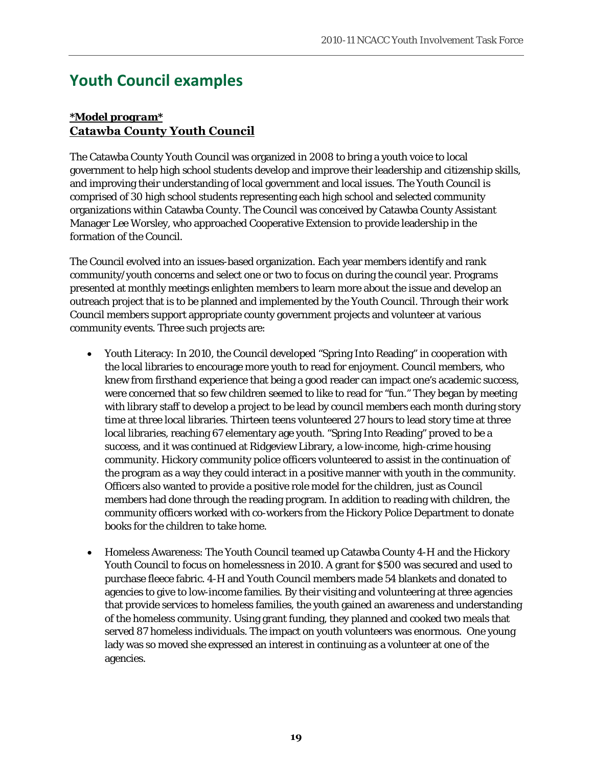# **Youth Council examples**

### *\*Model program\** **Catawba County Youth Council**

The Catawba County Youth Council was organized in 2008 to bring a youth voice to local government to help high school students develop and improve their leadership and citizenship skills, and improving their understanding of local government and local issues. The Youth Council is comprised of 30 high school students representing each high school and selected community organizations within Catawba County. The Council was conceived by Catawba County Assistant Manager Lee Worsley, who approached Cooperative Extension to provide leadership in the formation of the Council.

The Council evolved into an issues-based organization. Each year members identify and rank community/youth concerns and select one or two to focus on during the council year. Programs presented at monthly meetings enlighten members to learn more about the issue and develop an outreach project that is to be planned and implemented by the Youth Council. Through their work Council members support appropriate county government projects and volunteer at various community events. Three such projects are:

- Youth Literacy: In 2010, the Council developed "Spring Into Reading" in cooperation with the local libraries to encourage more youth to read for enjoyment. Council members, who knew from firsthand experience that being a good reader can impact one's academic success, were concerned that so few children seemed to like to read for "fun." They began by meeting with library staff to develop a project to be lead by council members each month during story time at three local libraries. Thirteen teens volunteered 27 hours to lead story time at three local libraries, reaching 67 elementary age youth. "Spring Into Reading" proved to be a success, and it was continued at Ridgeview Library, a low-income, high-crime housing community. Hickory community police officers volunteered to assist in the continuation of the program as a way they could interact in a positive manner with youth in the community. Officers also wanted to provide a positive role model for the children, just as Council members had done through the reading program. In addition to reading with children, the community officers worked with co-workers from the Hickory Police Department to donate books for the children to take home.
- Homeless Awareness: The Youth Council teamed up Catawba County 4-H and the Hickory Youth Council to focus on homelessness in 2010. A grant for \$500 was secured and used to purchase fleece fabric. 4-H and Youth Council members made 54 blankets and donated to agencies to give to low-income families. By their visiting and volunteering at three agencies that provide services to homeless families, the youth gained an awareness and understanding of the homeless community. Using grant funding, they planned and cooked two meals that served 87 homeless individuals. The impact on youth volunteers was enormous. One young lady was so moved she expressed an interest in continuing as a volunteer at one of the agencies.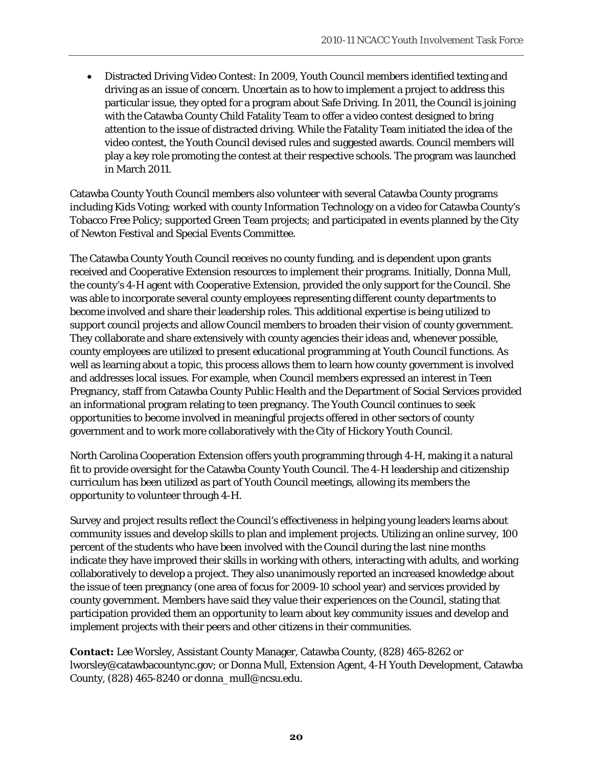• Distracted Driving Video Contest: In 2009, Youth Council members identified texting and driving as an issue of concern. Uncertain as to how to implement a project to address this particular issue, they opted for a program about Safe Driving. In 2011, the Council is joining with the Catawba County Child Fatality Team to offer a video contest designed to bring attention to the issue of distracted driving. While the Fatality Team initiated the idea of the video contest, the Youth Council devised rules and suggested awards. Council members will play a key role promoting the contest at their respective schools. The program was launched in March 2011.

Catawba County Youth Council members also volunteer with several Catawba County programs including Kids Voting; worked with county Information Technology on a video for Catawba County's Tobacco Free Policy; supported Green Team projects; and participated in events planned by the City of Newton Festival and Special Events Committee.

The Catawba County Youth Council receives no county funding, and is dependent upon grants received and Cooperative Extension resources to implement their programs. Initially, Donna Mull, the county's 4-H agent with Cooperative Extension, provided the only support for the Council. She was able to incorporate several county employees representing different county departments to become involved and share their leadership roles. This additional expertise is being utilized to support council projects and allow Council members to broaden their vision of county government. They collaborate and share extensively with county agencies their ideas and, whenever possible, county employees are utilized to present educational programming at Youth Council functions. As well as learning about a topic, this process allows them to learn how county government is involved and addresses local issues. For example, when Council members expressed an interest in Teen Pregnancy, staff from Catawba County Public Health and the Department of Social Services provided an informational program relating to teen pregnancy. The Youth Council continues to seek opportunities to become involved in meaningful projects offered in other sectors of county government and to work more collaboratively with the City of Hickory Youth Council.

North Carolina Cooperation Extension offers youth programming through 4-H, making it a natural fit to provide oversight for the Catawba County Youth Council. The 4-H leadership and citizenship curriculum has been utilized as part of Youth Council meetings, allowing its members the opportunity to volunteer through 4-H.

Survey and project results reflect the Council's effectiveness in helping young leaders learns about community issues and develop skills to plan and implement projects. Utilizing an online survey, 100 percent of the students who have been involved with the Council during the last nine months indicate they have improved their skills in working with others, interacting with adults, and working collaboratively to develop a project. They also unanimously reported an increased knowledge about the issue of teen pregnancy (one area of focus for 2009-10 school year) and services provided by county government. Members have said they value their experiences on the Council, stating that participation provided them an opportunity to learn about key community issues and develop and implement projects with their peers and other citizens in their communities.

**Contact:** Lee Worsley, Assistant County Manager, Catawba County, (828) 465-8262 or lworsley@catawbacountync.gov; or Donna Mull, Extension Agent, 4-H Youth Development, Catawba County, (828) 465-8240 or donna\_mull@ncsu.edu.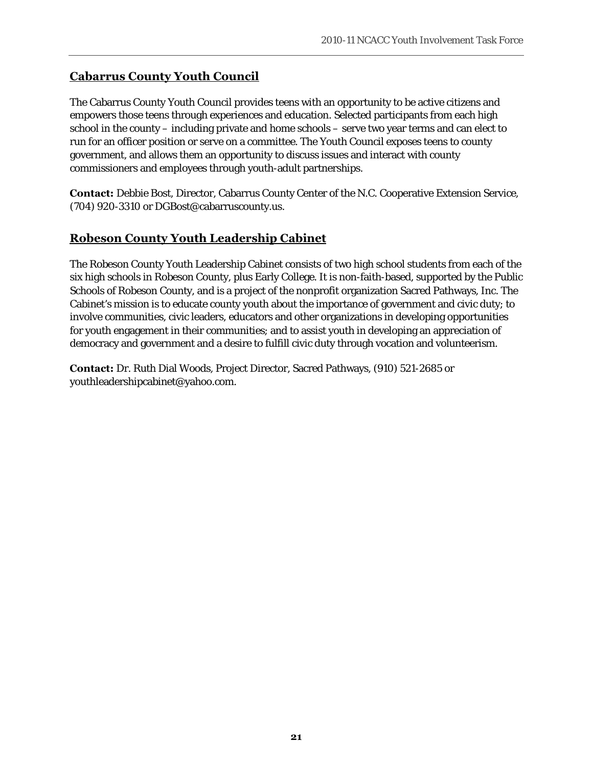## **Cabarrus County Youth Council**

The Cabarrus County Youth Council provides teens with an opportunity to be active citizens and empowers those teens through experiences and education. Selected participants from each high school in the county – including private and home schools – serve two year terms and can elect to run for an officer position or serve on a committee. The Youth Council exposes teens to county government, and allows them an opportunity to discuss issues and interact with county commissioners and employees through youth-adult partnerships.

**Contact:** Debbie Bost, Director, Cabarrus County Center of the N.C. Cooperative Extension Service, (704) 920-3310 or DGBost@cabarruscounty.us.

## **Robeson County Youth Leadership Cabinet**

The Robeson County Youth Leadership Cabinet consists of two high school students from each of the six high schools in Robeson County, plus Early College. It is non-faith-based, supported by the Public Schools of Robeson County, and is a project of the nonprofit organization Sacred Pathways, Inc. The Cabinet's mission is to educate county youth about the importance of government and civic duty; to involve communities, civic leaders, educators and other organizations in developing opportunities for youth engagement in their communities; and to assist youth in developing an appreciation of democracy and government and a desire to fulfill civic duty through vocation and volunteerism.

**Contact:** Dr. Ruth Dial Woods, Project Director, Sacred Pathways, (910) 521-2685 or youthleadershipcabinet@yahoo.com.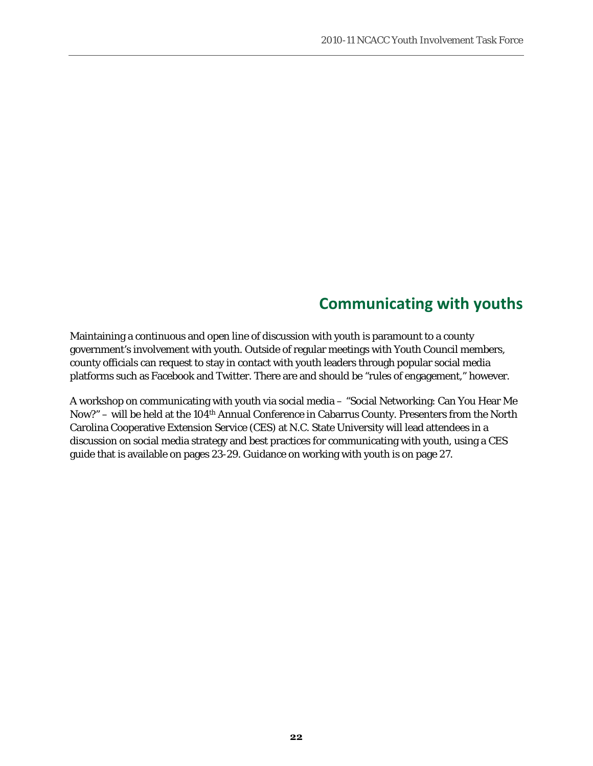# **Communicating with youths**

Maintaining a continuous and open line of discussion with youth is paramount to a county government's involvement with youth. Outside of regular meetings with Youth Council members, county officials can request to stay in contact with youth leaders through popular social media platforms such as Facebook and Twitter. There are and should be "rules of engagement," however.

A workshop on communicating with youth via social media – "Social Networking: Can You Hear Me Now?" – will be held at the 104th Annual Conference in Cabarrus County. Presenters from the North Carolina Cooperative Extension Service (CES) at N.C. State University will lead attendees in a discussion on social media strategy and best practices for communicating with youth, using a CES guide that is available on pages 23-29. Guidance on working with youth is on page 27.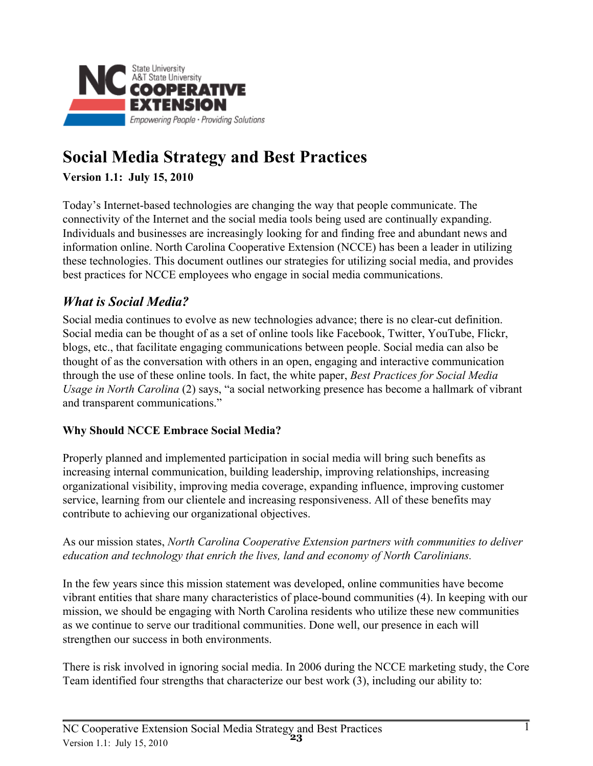

# **Social Media Strategy and Best Practices**

# **Version 1.1: July 15, 2010**

Today's Internet-based technologies are changing the way that people communicate. The connectivity of the Internet and the social media tools being used are continually expanding. Individuals and businesses are increasingly looking for and finding free and abundant news and information online. North Carolina Cooperative Extension (NCCE) has been a leader in utilizing these technologies. This document outlines our strategies for utilizing social media, and provides best practices for NCCE employees who engage in social media communications.

# **What is Social Media?**

Social media continues to evolve as new technologies advance; there is no clear-cut definition. Social media can be thought of as a set of online tools like Facebook, Twitter, YouTube, Flickr, blogs, etc., that facilitate engaging communications between people. Social media can also be thought of as the conversation with others in an open, engaging and interactive communication through the use of these online tools. In fact, the white paper, Best Practices for Social Media Usage in North Carolina (2) says, "a social networking presence has become a hallmark of vibrant and transparent communications."

# **Why Should NCCE Embrace Social Media?**

Properly planned and implemented participation in social media will bring such benefits as increasing internal communication, building leadership, improving relationships, increasing organizational visibility, improving media coverage, expanding influence, improving customer service, learning from our clientele and increasing responsiveness. All of these benefits may contribute to achieving our organizational objectives.

### As our mission states, North Carolina Cooperative Extension partners with communities to deliver education and technology that enrich the lives, land and economy of North Carolinians.

In the few years since this mission statement was developed, online communities have become vibrant entities that share many characteristics of place-bound communities (4). In keeping with our mission, we should be engaging with North Carolina residents who utilize these new communities as we continue to serve our traditional communities. Done well, our presence in each will strengthen our success in both environments.

There is risk involved in ignoring social media. In 2006 during the NCCE marketing study, the Core Team identified four strengths that characterize our best work (3), including our ability to: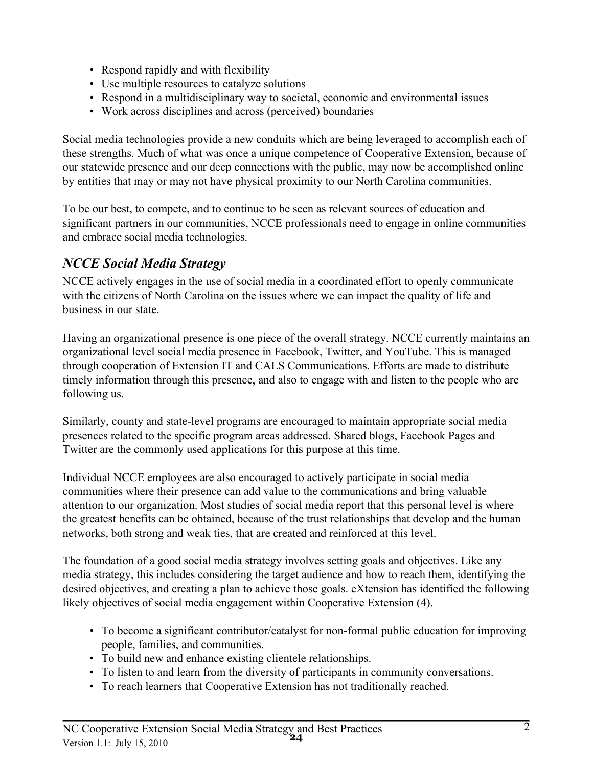- Respond rapidly and with flexibility
- Use multiple resources to catalyze solutions
- Respond in a multidisciplinary way to societal, economic and environmental issues
- Work across disciplines and across (perceived) boundaries

Social media technologies provide a new conduits which are being leveraged to accomplish each of these strengths. Much of what was once a unique competence of Cooperative Extension, because of our statewide presence and our deep connections with the public, may now be accomplished online by entities that may or may not have physical proximity to our North Carolina communities.

To be our best, to compete, and to continue to be seen as relevant sources of education and significant partners in our communities, NCCE professionals need to engage in online communities and embrace social media technologies.

# **NCCE Social Media Strategy**

NCCE actively engages in the use of social media in a coordinated effort to openly communicate with the citizens of North Carolina on the issues where we can impact the quality of life and business in our state

Having an organizational presence is one piece of the overall strategy. NCCE currently maintains an organizational level social media presence in Facebook, Twitter, and YouTube. This is managed through cooperation of Extension IT and CALS Communications. Efforts are made to distribute timely information through this presence, and also to engage with and listen to the people who are following us.

Similarly, county and state-level programs are encouraged to maintain appropriate social media presences related to the specific program areas addressed. Shared blogs, Facebook Pages and Twitter are the commonly used applications for this purpose at this time.

Individual NCCE employees are also encouraged to actively participate in social media communities where their presence can add value to the communications and bring valuable attention to our organization. Most studies of social media report that this personal level is where the greatest benefits can be obtained, because of the trust relationships that develop and the human networks, both strong and weak ties, that are created and reinforced at this level.

The foundation of a good social media strategy involves setting goals and objectives. Like any media strategy, this includes considering the target audience and how to reach them, identifying the desired objectives, and creating a plan to achieve those goals. eXtension has identified the following likely objectives of social media engagement within Cooperative Extension (4).

- To become a significant contributor/catalyst for non-formal public education for improving people, families, and communities.
- To build new and enhance existing clientele relationships.
- To listen to and learn from the diversity of participants in community conversations.
- To reach learners that Cooperative Extension has not traditionally reached.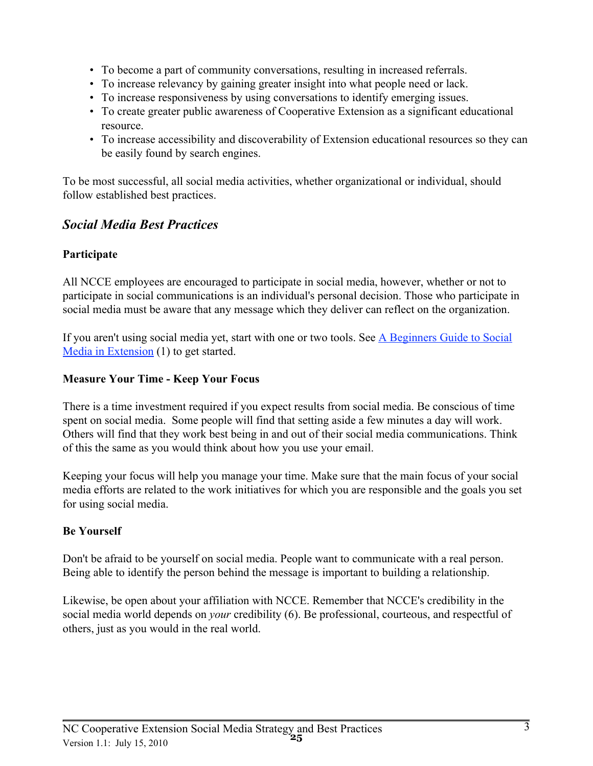- To become a part of community conversations, resulting in increased referrals.
- To increase relevancy by gaining greater insight into what people need or lack.
- To increase responsiveness by using conversations to identify emerging issues.
- To create greater public awareness of Cooperative Extension as a significant educational resource
- To increase accessibility and discoverability of Extension educational resources so they can be easily found by search engines.

To be most successful, all social media activities, whether organizational or individual, should follow established best practices.

# **Social Media Best Practices**

## Participate

All NCCE employees are encouraged to participate in social media, however, whether or not to participate in social communications is an individual's personal decision. Those who participate in social media must be aware that any message which they deliver can reflect on the organization.

If you aren't using social media yet, start with one or two tools. See A Beginners Guide to Social Media in Extension (1) to get started.

## **Measure Your Time - Keep Your Focus**

There is a time investment required if you expect results from social media. Be conscious of time spent on social media. Some people will find that setting aside a few minutes a day will work. Others will find that they work best being in and out of their social media communications. Think of this the same as you would think about how you use your email.

Keeping your focus will help you manage your time. Make sure that the main focus of your social media efforts are related to the work initiatives for which you are responsible and the goals you set for using social media.

### **Be Yourself**

Don't be afraid to be yourself on social media. People want to communicate with a real person. Being able to identify the person behind the message is important to building a relationship.

Likewise, be open about your affiliation with NCCE. Remember that NCCE's credibility in the social media world depends on *your* credibility (6). Be professional, courteous, and respectful of others, just as you would in the real world.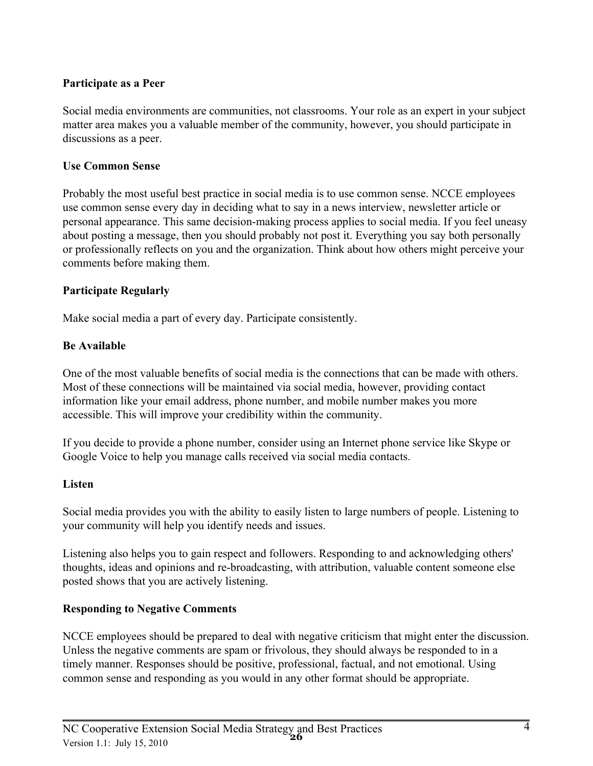## Participate as a Peer

Social media environments are communities, not classrooms. Your role as an expert in your subject matter area makes you a valuable member of the community, however, you should participate in discussions as a peer.

### **Use Common Sense**

Probably the most useful best practice in social media is to use common sense. NCCE employees use common sense every day in deciding what to say in a news interview, newsletter article or personal appearance. This same decision-making process applies to social media. If you feel uneasy about posting a message, then you should probably not post it. Everything you say both personally or professionally reflects on you and the organization. Think about how others might perceive your comments before making them.

### **Participate Regularly**

Make social media a part of every day. Participate consistently.

### **Be Available**

One of the most valuable benefits of social media is the connections that can be made with others. Most of these connections will be maintained via social media, however, providing contact information like your email address, phone number, and mobile number makes you more accessible. This will improve your credibility within the community.

If you decide to provide a phone number, consider using an Internet phone service like Skype or Google Voice to help you manage calls received via social media contacts.

### **Listen**

Social media provides you with the ability to easily listen to large numbers of people. Listening to your community will help you identify needs and issues.

Listening also helps you to gain respect and followers. Responding to and acknowledging others' thoughts, ideas and opinions and re-broadcasting, with attribution, valuable content someone else posted shows that you are actively listening.

### **Responding to Negative Comments**

NCCE employees should be prepared to deal with negative criticism that might enter the discussion. Unless the negative comments are spam or frivolous, they should always be responded to in a timely manner. Responses should be positive, professional, factual, and not emotional. Using common sense and responding as you would in any other format should be appropriate.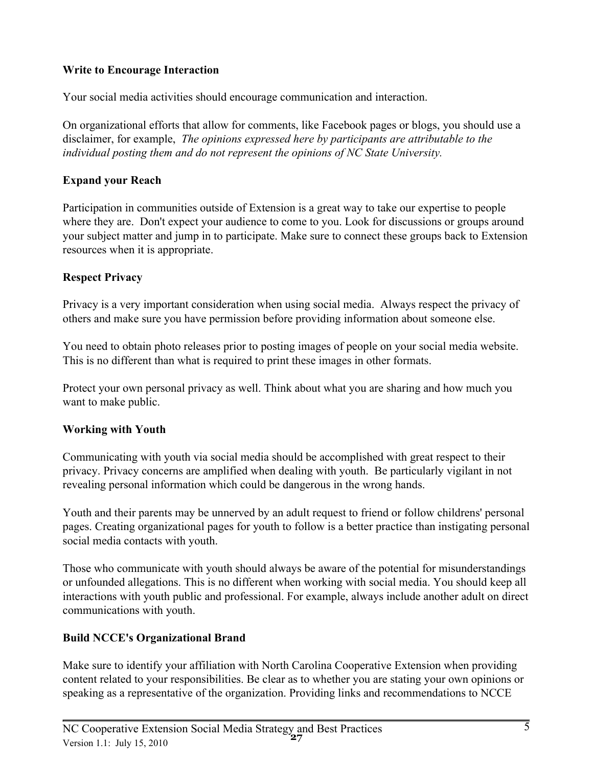## **Write to Encourage Interaction**

Your social media activities should encourage communication and interaction.

On organizational efforts that allow for comments, like Facebook pages or blogs, you should use a disclaimer, for example, The opinions expressed here by participants are attributable to the individual posting them and do not represent the opinions of NC State University.

# **Expand your Reach**

Participation in communities outside of Extension is a great way to take our expertise to people where they are. Don't expect your audience to come to you. Look for discussions or groups around your subject matter and jump in to participate. Make sure to connect these groups back to Extension resources when it is appropriate.

## **Respect Privacy**

Privacy is a very important consideration when using social media. Always respect the privacy of others and make sure you have permission before providing information about someone else.

You need to obtain photo releases prior to posting images of people on your social media website. This is no different than what is required to print these images in other formats.

Protect your own personal privacy as well. Think about what you are sharing and how much you want to make public.

# **Working with Youth**

Communicating with youth via social media should be accomplished with great respect to their privacy. Privacy concerns are amplified when dealing with youth. Be particularly vigilant in not revealing personal information which could be dangerous in the wrong hands.

Youth and their parents may be unnerved by an adult request to friend or follow childrens' personal pages. Creating organizational pages for youth to follow is a better practice than instigating personal social media contacts with youth.

Those who communicate with youth should always be aware of the potential for misunderstandings or unfounded allegations. This is no different when working with social media. You should keep all interactions with youth public and professional. For example, always include another adult on direct communications with youth.

# **Build NCCE's Organizational Brand**

Make sure to identify your affiliation with North Carolina Cooperative Extension when providing content related to your responsibilities. Be clear as to whether you are stating your own opinions or speaking as a representative of the organization. Providing links and recommendations to NCCE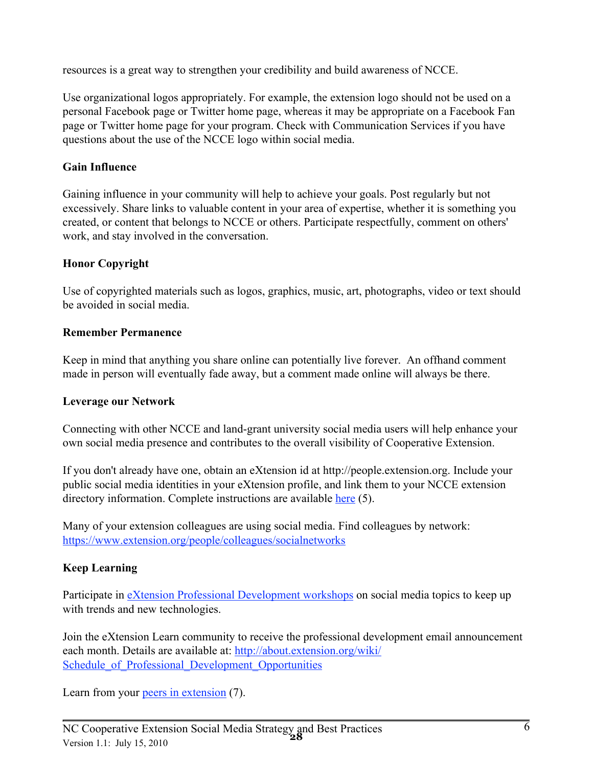resources is a great way to strengthen your credibility and build awareness of NCCE.

Use organizational logos appropriately. For example, the extension logo should not be used on a personal Facebook page or Twitter home page, whereas it may be appropriate on a Facebook Fan page or Twitter home page for your program. Check with Communication Services if you have questions about the use of the NCCE logo within social media.

### **Gain Influence**

Gaining influence in your community will help to achieve your goals. Post regularly but not excessively. Share links to valuable content in your area of expertise, whether it is something you created, or content that belongs to NCCE or others. Participate respectfully, comment on others' work, and stay involved in the conversation.

### **Honor Copyright**

Use of copyrighted materials such as logos, graphics, music, art, photographs, video or text should be avoided in social media.

### **Remember Permanence**

Keep in mind that anything you share online can potentially live forever. An offhand comment made in person will eventually fade away, but a comment made online will always be there.

### **Leverage our Network**

Connecting with other NCCE and land-grant university social media users will help enhance your own social media presence and contributes to the overall visibility of Cooperative Extension.

If you don't already have one, obtain an eXtension id at http://people.extension.org. Include your public social media identities in your eXtension profile, and link them to your NCCE extension directory information. Complete instructions are available here (5).

Many of your extension colleagues are using social media. Find colleagues by network: https://www.extension.org/people/colleagues/socialnetworks

### **Keep Learning**

Participate in eXtension Professional Development workshops on social media topics to keep up with trends and new technologies.

Join the eXtension Learn community to receive the professional development email announcement each month. Details are available at: http://about.extension.org/wiki/ Schedule of Professional Development Opportunities

Learn from your peers in extension (7).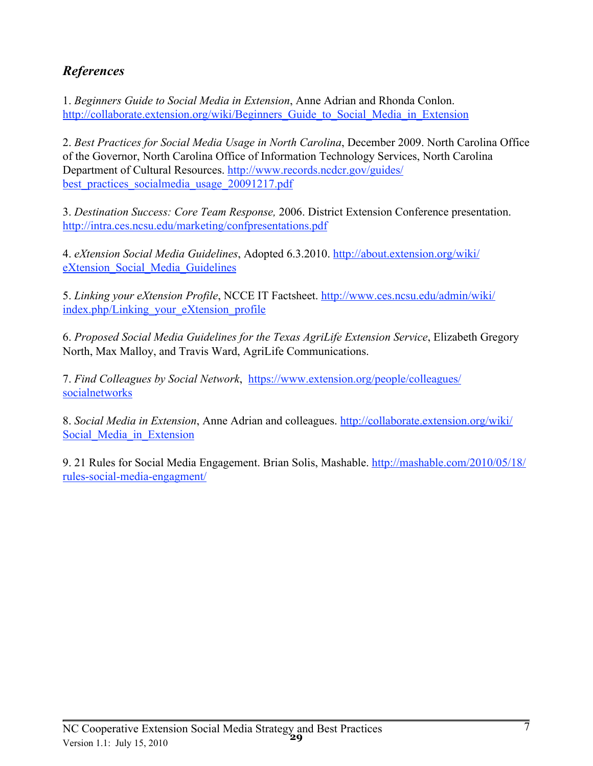# **References**

1. Beginners Guide to Social Media in Extension, Anne Adrian and Rhonda Conlon. http://collaborate.extension.org/wiki/Beginners Guide to Social Media in Extension

2. Best Practices for Social Media Usage in North Carolina, December 2009. North Carolina Office of the Governor, North Carolina Office of Information Technology Services, North Carolina Department of Cultural Resources. http://www.records.ncdcr.gov/guides/ best practices socialmedia usage 20091217.pdf

3. Destination Success: Core Team Response, 2006. District Extension Conference presentation. http://intra.ces.ncsu.edu/marketing/confpresentations.pdf

4. eXtension Social Media Guidelines, Adopted 6.3.2010. http://about.extension.org/wiki/ eXtension Social Media Guidelines

5. Linking your eXtension Profile, NCCE IT Factsheet. http://www.ces.ncsu.edu/admin/wiki/ index.php/Linking your eXtension profile

6. Proposed Social Media Guidelines for the Texas AgriLife Extension Service, Elizabeth Gregory North, Max Malloy, and Travis Ward, AgriLife Communications.

7. Find Colleagues by Social Network, https://www.extension.org/people/colleagues/ socialnetworks

8. Social Media in Extension, Anne Adrian and colleagues, http://collaborate.extension.org/wiki/ Social Media in Extension

9. 21 Rules for Social Media Engagement. Brian Solis, Mashable. http://mashable.com/2010/05/18/ rules-social-media-engagment/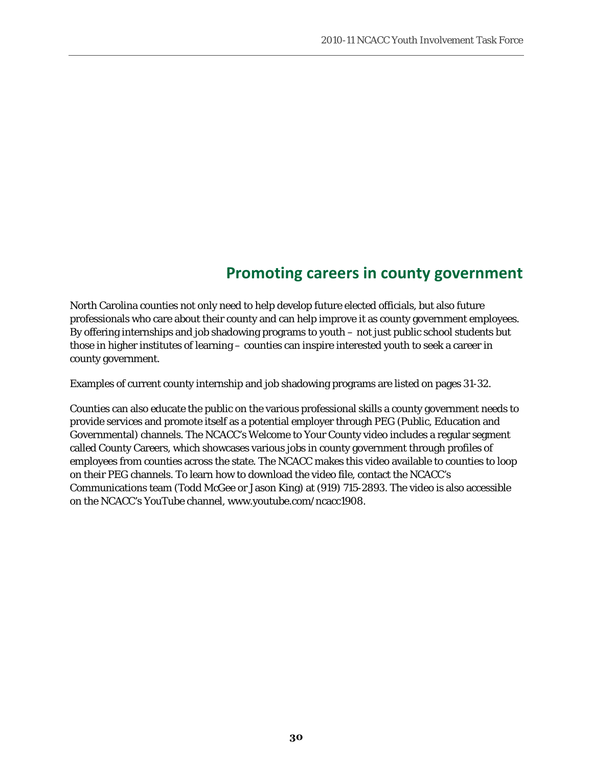# **Promoting careers in county government**

North Carolina counties not only need to help develop future elected officials, but also future professionals who care about their county and can help improve it as county government employees. By offering internships and job shadowing programs to youth – not just public school students but those in higher institutes of learning – counties can inspire interested youth to seek a career in county government.

Examples of current county internship and job shadowing programs are listed on pages 31-32.

Counties can also educate the public on the various professional skills a county government needs to provide services and promote itself as a potential employer through PEG (Public, Education and Governmental) channels. The NCACC's Welcome to Your County video includes a regular segment called County Careers, which showcases various jobs in county government through profiles of employees from counties across the state. The NCACC makes this video available to counties to loop on their PEG channels. To learn how to download the video file, contact the NCACC's Communications team (Todd McGee or Jason King) at (919) 715-2893. The video is also accessible on the NCACC's YouTube channel, www.youtube.com/ncacc1908.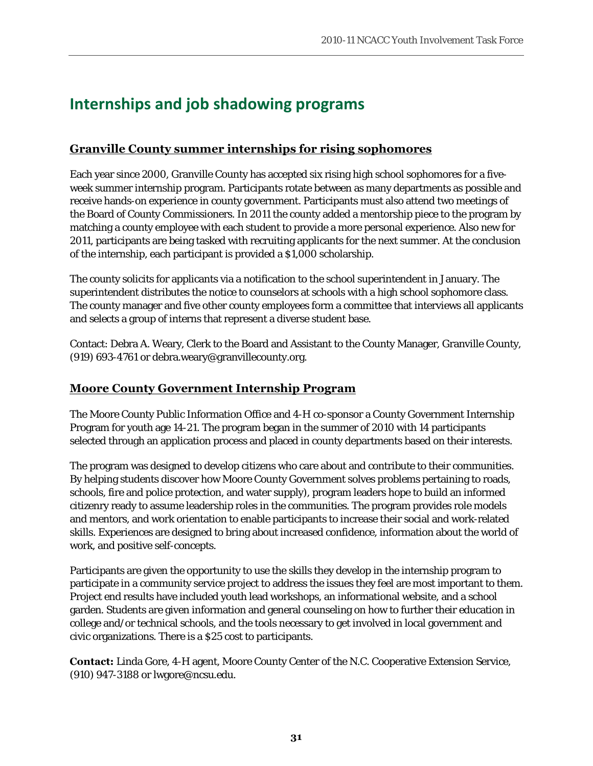# **Internships and job shadowing programs**

# **Granville County summer internships for rising sophomores**

Each year since 2000, Granville County has accepted six rising high school sophomores for a fiveweek summer internship program. Participants rotate between as many departments as possible and receive hands-on experience in county government. Participants must also attend two meetings of the Board of County Commissioners. In 2011 the county added a mentorship piece to the program by matching a county employee with each student to provide a more personal experience. Also new for 2011, participants are being tasked with recruiting applicants for the next summer. At the conclusion of the internship, each participant is provided a \$1,000 scholarship.

The county solicits for applicants via a notification to the school superintendent in January. The superintendent distributes the notice to counselors at schools with a high school sophomore class. The county manager and five other county employees form a committee that interviews all applicants and selects a group of interns that represent a diverse student base.

Contact: Debra A. Weary, Clerk to the Board and Assistant to the County Manager, Granville County, (919) 693-4761 or debra.weary@granvillecounty.org.

## **Moore County Government Internship Program**

The Moore County Public Information Office and 4-H co-sponsor a County Government Internship Program for youth age 14-21. The program began in the summer of 2010 with 14 participants selected through an application process and placed in county departments based on their interests.

The program was designed to develop citizens who care about and contribute to their communities. By helping students discover how Moore County Government solves problems pertaining to roads, schools, fire and police protection, and water supply), program leaders hope to build an informed citizenry ready to assume leadership roles in the communities. The program provides role models and mentors, and work orientation to enable participants to increase their social and work-related skills. Experiences are designed to bring about increased confidence, information about the world of work, and positive self-concepts.

Participants are given the opportunity to use the skills they develop in the internship program to participate in a community service project to address the issues they feel are most important to them. Project end results have included youth lead workshops, an informational website, and a school garden. Students are given information and general counseling on how to further their education in college and/or technical schools, and the tools necessary to get involved in local government and civic organizations. There is a \$25 cost to participants.

**Contact:** Linda Gore, 4-H agent, Moore County Center of the N.C. Cooperative Extension Service, (910) 947-3188 or lwgore@ncsu.edu.